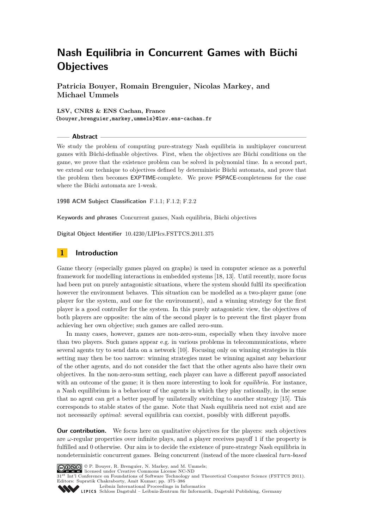**Patricia Bouyer, Romain Brenguier, Nicolas Markey, and Michael Ummels**

**LSV, CNRS & ENS Cachan, France {bouyer,brenguier,markey,ummels}@lsv.ens-cachan.fr**

**Abstract**

We study the problem of computing pure-strategy Nash equilibria in multiplayer concurrent games with Büchi-definable objectives. First, when the objectives are Büchi conditions on the game, we prove that the existence problem can be solved in polynomial time. In a second part, we extend our technique to objectives defined by deterministic Büchi automata, and prove that the problem then becomes EXPTIME-complete. We prove PSPACE-completeness for the case where the Büchi automata are 1-weak.

**1998 ACM Subject Classification** F.1.1; F.1.2; F.2.2

**Keywords and phrases** Concurrent games, Nash equilibria, Büchi objectives

**Digital Object Identifier** [10.4230/LIPIcs.FSTTCS.2011.375](http://dx.doi.org/10.4230/LIPIcs.FSTTCS.2011.375)

# **1 Introduction**

Game theory (especially games played on graphs) is used in computer science as a powerful framework for modelling interactions in embedded systems [\[18,](#page-11-0) [13\]](#page-11-1). Until recently, more focus had been put on purely antagonistic situations, where the system should fulfil its specification however the environment behaves. This situation can be modelled as a two-player game (one player for the system, and one for the environment), and a winning strategy for the first player is a good controller for the system. In this purely antagonistic view, the objectives of both players are opposite: the aim of the second player is to prevent the first player from achieving her own objective; such games are called zero-sum.

In many cases, however, games are non-zero-sum, especially when they involve more than two players. Such games appear e.g. in various problems in telecommunications, where several agents try to send data on a network [\[10\]](#page-11-2). Focusing only on winning strategies in this setting may then be too narrow: winning strategies must be winning against any behaviour of the other agents, and do not consider the fact that the other agents also have their own objectives. In the non-zero-sum setting, each player can have a different payoff associated with an outcome of the game; it is then more interesting to look for *equilibria*. For instance, a Nash equilibrium is a behaviour of the agents in which they play rationally, in the sense that no agent can get a better payoff by unilaterally switching to another strategy [\[15\]](#page-11-3). This corresponds to stable states of the game. Note that Nash equilibria need not exist and are not necessarily *optimal*: several equilibria can coexist, possibly with different payoffs.

**Our contribution.** We focus here on qualitative objectives for the players: such objectives are *ω*-regular properties over infinite plays, and a player receives payoff 1 if the property is fulfilled and 0 otherwise. Our aim is to decide the existence of pure-strategy Nash equilibria in nondeterministic concurrent games. Being concurrent (instead of the more classical *turn-based*



© P. Bouyer, R. Brenguier, N. Markey, and M. Ummels; licensed under Creative Commons License NC-ND

31<sup>st</sup> Int'l Conference on Foundations of Software Technology and Theoretical Computer Science (FSTTCS 2011).

Editors: Supratik Chakraborty, Amit Kumar; pp. 375[–386](#page-11-4)

[Leibniz International Proceedings in Informatics](http://www.dagstuhl.de/lipics/)

Leibniz international riveredings in miximetrix<br>
LIPICS [Schloss Dagstuhl – Leibniz-Zentrum für Informatik, Dagstuhl Publishing, Germany](http://www.dagstuhl.de)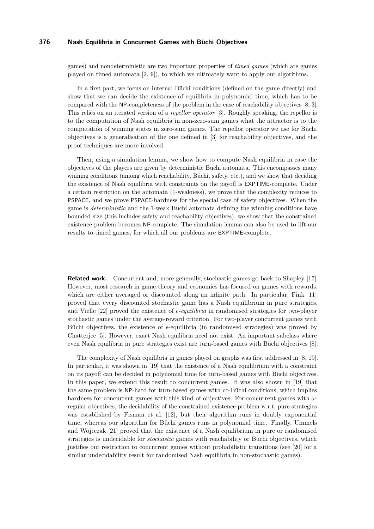games) and nondeterministic are two important properties of *timed games* (which are games played on timed automata [\[2,](#page-11-5) [9\]](#page-11-6)), to which we ultimately want to apply our algorithms.

In a first part, we focus on internal Büchi conditions (defined on the game directly) and show that we can decide the existence of equilibria in polynomial time, which has to be compared with the NP-completeness of the problem in the case of reachability objectives [\[8,](#page-11-7) [3\]](#page-11-8). This relies on an iterated version of a *repellor operator* [\[3\]](#page-11-8). Roughly speaking, the repellor is to the computation of Nash equilibria in non-zero-sum games what the attractor is to the computation of winning states in zero-sum games. The repellor operator we use for Büchi objectives is a generalisation of the one defined in [\[3\]](#page-11-8) for reachability objectives, and the proof techniques are more involved.

Then, using a simulation lemma, we show how to compute Nash equilibria in case the objectives of the players are given by deterministic Büchi automata. This encompasses many winning conditions (among which reachability, Büchi, safety, etc.), and we show that deciding the existence of Nash equilibria with constraints on the payoff is EXPTIME-complete. Under a certain restriction on the automata (1-weakness), we prove that the complexity reduces to PSPACE, and we prove PSPACE-hardness for the special case of safety objectives. When the game is *deterministic* and the 1-weak Büchi automata defining the winning conditions have bounded size (this includes safety and reachability objectives), we show that the constrained existence problem becomes NP-complete. The simulation lemma can also be used to lift our results to timed games, for which all our problems are EXPTIME-complete.

**Related work.** Concurrent and, more generally, stochastic games go back to Shapley [\[17\]](#page-11-9). However, most research in game theory and economics has focused on games with rewards, which are either averaged or discounted along an infinite path. In particular, Fink [\[11\]](#page-11-10) proved that every discounted stochastic game has a Nash equilibrium in pure strategies, and Vielle [\[22\]](#page-11-11) proved the existence of  $\epsilon$ -*equilibria* in randomised strategies for two-player stochastic games under the average-reward criterion. For two-player concurrent games with Büchi objectives, the existence of  $\epsilon$ -equilibria (in randomised strategies) was proved by Chatterjee [\[5\]](#page-11-12). However, exact Nash equilibria need not exist. An important subclass where even Nash equilibria in pure strategies exist are turn-based games with Büchi objectives [\[8\]](#page-11-7).

The complexity of Nash equilibria in games played on graphs was first addressed in [\[8,](#page-11-7) [19\]](#page-11-13). In particular, it was shown in [\[19\]](#page-11-13) that the existence of a Nash equilibrium with a constraint on its payoff can be decided in polynomial time for turn-based games with Büchi objectives. In this paper, we extend this result to concurrent games. It was also shown in [\[19\]](#page-11-13) that the same problem is NP-hard for turn-based games with co-Büchi conditions, which implies hardness for concurrent games with this kind of objectives. For concurrent games with *ω*regular objectives, the decidability of the constrained existence problem w.r.t. pure strategies was established by Fisman et al. [\[12\]](#page-11-14), but their algorithm runs in doubly exponential time, whereas our algorithm for Büchi games runs in polynomial time. Finally, Ummels and Wojtczak [\[21\]](#page-11-15) proved that the existence of a Nash equilibrium in pure or randomised strategies is undecidable for *stochastic* games with reachability or Büchi objectives, which justifies our restriction to concurrent games without probabilistic transitions (see [\[20\]](#page-11-16) for a similar undecidability result for randomised Nash equilibria in non-stochastic games).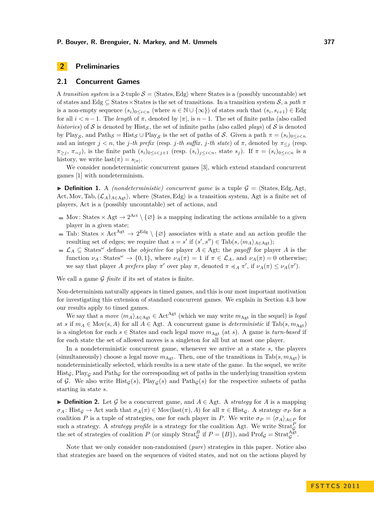# <span id="page-2-0"></span>**2 Preliminaries**

#### **2.1 Concurrent Games**

A *transition system* is a 2-tuple  $S = \langle \text{States}, \text{Edg} \rangle$  where States is a (possibly uncountable) set of states and Edg  $\subseteq$  States  $\times$  States is the set of transitions. In a transition system S, a *path*  $\pi$ is a non-empty sequence  $(s_i)_{0 \leq i \leq n}$  (where  $n \in \mathbb{N} \cup \{\infty\}$ ) of states such that  $(s_i, s_{i+1}) \in \text{Edg}$ for all  $i < n-1$ . The *length* of  $\pi$ , denoted by  $|\pi|$ , is  $n-1$ . The set of finite paths (also called *histories*) of S is denoted by  $\text{Hist}_{\mathcal{S}}$ , the set of infinite paths (also called *plays*) of S is denoted by Play<sub>S</sub>, and Path<sub>S</sub> = Hist<sub>S</sub> ∪ Play<sub>S</sub> is the set of paths of S. Given a path  $\pi = (s_i)_{0 \le i \le n}$ and an integer  $j < n$ , the *j*-th prefix (resp. *j*-th suffix, *j*-th state) of  $\pi$ , denoted by  $\pi \leq j$  (resp.  $\pi_{\geq j}$ ,  $\pi_{=j}$ ), is the finite path  $(s_i)_{0 \leq i \leq j+1}$  (resp.  $(s_i)_{j \leq i \leq n}$ , state  $s_j$ ). If  $\pi = (s_i)_{0 \leq i \leq n}$  is a history, we write  $\text{last}(\pi) = s_{|\pi|}$ .

We consider nondeterministic concurrent games [\[3\]](#page-11-8), which extend standard concurrent games [\[1\]](#page-11-17) with nondeterminism.

**Definition 1.** A *(nondeterministic) concurrent game* is a tuple  $\mathcal{G} = \langle$ States*,* Edg*, Agt<sub>i</sub>* Act, Mov, Tab,  $(\mathcal{L}_A)_{A \in \text{Act}}$ , where  $\langle$ States, Edg $\rangle$  is a transition system, Agt is a finite set of players, Act is a (possibly uncountable) set of actions, and

- Mov: States  $\times$  Agt  $\rightarrow$  2<sup>Act</sup>  $\setminus \{\varnothing\}$  is a mapping indicating the actions available to a given player in a given state;
- Tab: States  $\times$  Act<sup>Agt</sup>  $\rightarrow$  2<sup>Edg</sup> \ { $\varnothing$ } associates with a state and an action profile the resulting set of edges; we require that  $s = s'$  if  $(s', s'') \in \text{Tab}(s, \langle m_A \rangle_{A \in \text{Agt}})$ ;
- $\mathcal{L}_A$  ⊆ States<sup>ω</sup> defines the *objective* for player  $A \in \text{Agt}$ ; the *payoff* for player  $A$  is the function  $\nu_A$ : States<sup> $\omega$ </sup>  $\rightarrow$  {0,1}, where  $\nu_A(\pi) = 1$  if  $\pi \in \mathcal{L}_A$ , and  $\nu_A(\pi) = 0$  otherwise; we say that player *A prefers* play  $\pi'$  over play  $\pi$ , denoted  $\pi \preccurlyeq_A \pi'$ , if  $\nu_A(\pi) \leq \nu_A(\pi')$ .

We call a game  $G$  *finite* if its set of states is finite.

Non-determinism naturally appears in timed games, and this is our most important motivation for investigating this extension of standard concurrent games. We explain in Section [4.3](#page-8-0) how our results apply to timed games.

We say that a *move*  $\langle m_A \rangle_{A \in \text{Agt}} \in \text{Act}^{\text{Agt}}$  (which we may write  $m_{\text{Agt}}$  in the sequel) is *legal* at *s* if  $m_A \in \text{Mov}(s, A)$  for all  $A \in \text{Agt}$ . A concurrent game is *deterministic* if  $\text{Tab}(s, m_{\text{Agt}})$ is a singleton for each  $s \in$  States and each legal move  $m_{\text{Agt}}$  (at *s*). A game is *turn-based* if for each state the set of allowed moves is a singleton for all but at most one player.

In a nondeterministic concurrent game, whenever we arrive at a state *s*, the players (simultaneously) choose a legal move  $m_{\text{Agt}}$ . Then, one of the transitions in Tab( $s, m_{\text{Agt}}$ ) is nondeterministically selected, which results in a new state of the game. In the sequel, we write Hist<sub>G</sub>, Play<sub>G</sub> and Path<sub>G</sub> for the corresponding set of paths in the underlying transition system of G. We also write  $\text{Hist}_{\mathcal{G}}(s)$ ,  $\text{Play}_{\mathcal{G}}(s)$  and  $\text{Path}_{\mathcal{G}}(s)$  for the respective subsets of paths starting in state *s*.

**► Definition 2.** Let G be a concurrent game, and  $A \in \text{Agt}$ . A *strategy* for A is a mapping  $\sigma_A$ : Hist<sub>G</sub> → Act such that  $\sigma_A(\pi) \in \text{Mov}(last(\pi), A)$  for all  $\pi \in \text{Hist}_G$ . A strategy  $\sigma_P$  for a coalition *P* is a tuple of strategies, one for each player in *P*. We write  $\sigma_P = \langle \sigma_A \rangle_{A \in P}$  for such a strategy. A *strategy profile* is a strategy for the coalition Agt. We write  $\text{Strat}_{\mathcal{G}}^P$  for the set of strategies of coalition *P* (or simply Strat<sub>*G*</sub> if  $P = \{B\}$ ), and  $\text{Prof}_\mathcal{G} = \text{Strat}_{\mathcal{G}}^{A\text{gt}}$ .

Note that we only consider non-randomised (*pure*) strategies in this paper. Notice also that strategies are based on the sequences of visited states, and not on the actions played by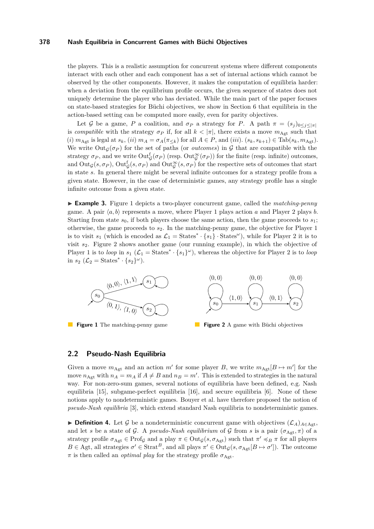the players. This is a realistic assumption for concurrent systems where different components interact with each other and each component has a set of internal actions which cannot be observed by the other components. However, it makes the computation of equilibria harder: when a deviation from the equilibrium profile occurs, the given sequence of states does not uniquely determine the player who has deviated. While the main part of the paper focuses on state-based strategies for Büchi objectives, we show in Section [6](#page-10-0) that equilibria in the action-based setting can be computed more easily, even for parity objectives.

Let G be a game, P a coalition, and  $\sigma_P$  a strategy for P. A path  $\pi = (s_i)_{0 \le i \le |\pi|}$ is *compatible* with the strategy  $\sigma_P$  if, for all  $k < |\pi|$ , there exists a move  $m_{\text{Agt}}$  such that (i)  $m_{\text{Agt}}$  is legal at  $s_k$ , (ii)  $m_A = \sigma_A(\pi_{\leq k})$  for all  $A \in P$ , and (iii).  $(s_k, s_{k+1}) \in \text{Tab}(s_k, m_{\text{Agt}})$ . We write  $Out_G(\sigma_P)$  for the set of paths (or *outcomes*) in G that are compatible with the strategy  $\sigma_P$ , and we write  $\text{Out}^{\text{f}}_{\mathcal{G}}(\sigma_P)$  (resp.  $\text{Out}^{\infty}_{\mathcal{G}}(\sigma_P)$ ) for the finite (resp. infinite) outcomes, and  $Out_{\mathcal{G}}(s,\sigma_P)$ ,  $Out_{\mathcal{G}}^f(s,\sigma_P)$  and  $Out_{\mathcal{G}}^{\infty}(s,\sigma_P)$  for the respective sets of outcomes that start in state *s*. In general there might be several infinite outcomes for a strategy profile from a given state. However, in the case of deterministic games, any strategy profile has a single infinite outcome from a given state.

I **Example 3.** Figure [1](#page-3-0) depicts a two-player concurrent game, called the *matching-penny* game. A pair  $\langle a, b \rangle$  represents a move, where Player 1 plays action *a* and Player 2 plays *b*. Starting from state  $s_0$ , if both players choose the same action, then the game proceeds to  $s_1$ ; otherwise, the game proceeds to *s*2. In the matching-penny game, the objective for Player 1 is to visit  $s_1$  (which is encoded as  $\mathcal{L}_1 = \text{States}^* \cdot \{s_1\} \cdot \text{States}^\omega$ ), while for Player 2 it is to visit *s*2. Figure [2](#page-3-0) shows another game (our running example), in which the objective of Player 1 is to *loop* in  $s_1$  ( $\mathcal{L}_1$  = States<sup>\*</sup> · { $s_1$ }<sup>ω</sup>), whereas the objective for Player 2 is to *loop* in  $s_2$  ( $\mathcal{L}_2$  = States<sup>\*</sup> · { $s_2$ }<sup>ω</sup>).

<span id="page-3-0"></span>

**Figure 2** A game with Büchi objectives

## <span id="page-3-1"></span>**2.2 Pseudo-Nash Equilibria**

Given a move  $m_{\text{Agt}}$  and an action  $m'$  for some player *B*, we write  $m_{\text{Agt}}[B \mapsto m']$  for the move  $n_{\text{Agt}}$  with  $n_A = m_A$  if  $A \neq B$  and  $n_B = m'$ . This is extended to strategies in the natural way. For non-zero-sum games, several notions of equilibria have been defined, e.g. Nash equilibria [\[15\]](#page-11-3), subgame-perfect equilibria [\[16\]](#page-11-18), and secure equilibria [\[6\]](#page-11-19). None of these notions apply to nondeterministic games. Bouyer et al. have therefore proposed the notion of *pseudo-Nash equilibria* [\[3\]](#page-11-8), which extend standard Nash equilibria to nondeterministic games.

**► Definition 4.** Let G be a nondeterministic concurrent game with objectives  $(\mathcal{L}_A)_{A \in \text{Art}}$ and let *s* be a state of G. A *pseudo-Nash equilibrium* of G from *s* is a pair  $(\sigma_{\text{Agt}}, \pi)$  of a strategy profile  $\sigma_{\text{Agt}} \in \text{Prof}_{\mathcal{G}}$  and a play  $\pi \in \text{Out}_{\mathcal{G}}(s, \sigma_{\text{Agt}})$  such that  $\pi' \preccurlyeq_B \pi$  for all players  $B \in \text{Agt}$ , all strategies  $\sigma' \in \text{Strat}^B$ , and all plays  $\pi' \in \text{Out}_\mathcal{G}(s, \sigma_{\text{Agt}}[B \mapsto \sigma'])$ . The outcome  $\pi$  is then called an *optimal play* for the strategy profile  $\sigma_{\text{Agt}}$ .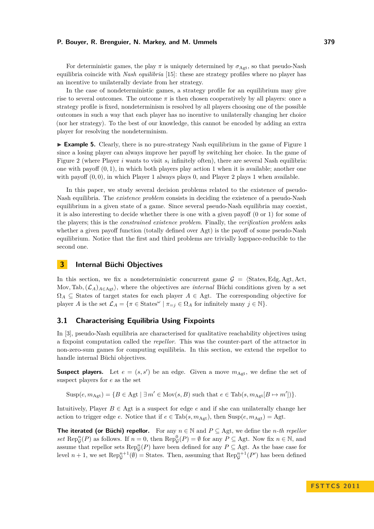For deterministic games, the play  $\pi$  is uniquely determined by  $\sigma_{\text{Agt}}$ , so that pseudo-Nash equilibria coincide with *Nash equilibria* [\[15\]](#page-11-3): these are strategy profiles where no player has an incentive to unilaterally deviate from her strategy.

In the case of nondeterministic games, a strategy profile for an equilibrium may give rise to several outcomes. The outcome  $\pi$  is then chosen cooperatively by all players: once a strategy profile is fixed, nondeterminism is resolved by all players choosing one of the possible outcomes in such a way that each player has no incentive to unilaterally changing her choice (nor her strategy). To the best of our knowledge, this cannot be encoded by adding an extra player for resolving the nondeterminism.

<span id="page-4-0"></span>► **Example 5.** Clearly, there is no pure-strategy Nash equilibrium in the game of Figure [1](#page-3-0) since a losing player can always improve her payoff by switching her choice. In the game of Figure [2](#page-3-0) (where Player *i* wants to visit  $s_i$  infinitely often), there are several Nash equilibria: one with payoff  $(0, 1)$ , in which both players play action 1 when it is available; another one with payoff  $(0,0)$ , in which Player 1 always plays 0, and Player 2 plays 1 when available.

In this paper, we study several decision problems related to the existence of pseudo-Nash equilibria. The *existence problem* consists in deciding the existence of a pseudo-Nash equilibrium in a given state of a game. Since several pseudo-Nash equilibria may coexist, it is also interesting to decide whether there is one with a given payoff (0 or 1) for some of the players; this is the *constrained existence problem*. Finally, the *verification problem* asks whether a given payoff function (totally defined over Agt) is the payoff of some pseudo-Nash equilibrium. Notice that the first and third problems are trivially logspace-reducible to the second one.

# **3 Internal Büchi Objectives**

In this section, we fix a nondeterministic concurrent game  $\mathcal{G} = \langle$ States*,* Edg*, Agt, Act*, Mov, Tab,  $(\mathcal{L}_A)_{A \in \text{Agt}}$ , where the objectives are *internal* Büchi conditions given by a set  $\Omega_A \subseteq$  States of target states for each player  $A \in$  Agt. The corresponding objective for player *A* is the set  $\mathcal{L}_A = \{ \pi \in \text{States}^\omega \mid \pi_{=j} \in \Omega_A \text{ for infinitely many } j \in \mathbb{N} \}.$ 

## **3.1 Characterising Equilibria Using Fixpoints**

In [\[3\]](#page-11-8), pseudo-Nash equilibria are characterised for qualitative reachability objectives using a fixpoint computation called the *repellor*. This was the counter-part of the attractor in non-zero-sum games for computing equilibria. In this section, we extend the repellor to handle internal Büchi objectives.

**Suspect players.** Let  $e = (s, s')$  be an edge. Given a move  $m_{\text{Agt}}$ , we define the set of suspect players for *e* as the set

 $Susp(e, m_{\text{Agt}}) = \{B \in Agt \mid \exists m' \in \text{Mov}(s, B) \text{ such that } e \in \text{Tab}(s, m_{\text{Agt}}[B \mapsto m'])\}.$ 

Intuitively, Player  $B \in A$ gt is a suspect for edge  $e$  and if she can unilaterally change her action to trigger edge *e*. Notice that if  $e \in \text{Tab}(s, m_{\text{Agt}})$ , then  $\text{Susp}(e, m_{\text{Agt}}) = \text{Agt}$ .

**The iterated (or Büchi) repellor.** For any  $n \in \mathbb{N}$  and  $P \subseteq \text{Agt}$ , we define the *n*-th repellor  $set \text{Rep}_{\mathcal{G}}^n(P)$  as follows. If  $n = 0$ , then  $\text{Rep}_{\mathcal{G}}^0(P) = \emptyset$  for any  $P \subseteq \text{Agt}$ . Now fix  $n \in \mathbb{N}$ , and assume that repellor sets  $\text{Rep}_{\mathcal{G}}^n(P)$  have been defined for any  $P \subseteq \text{Agt}$ . As the base case for level  $n+1$ , we set  $\text{Rep}_{\mathcal{G}}^{n+1}(\emptyset) =$  States. Then, assuming that  $\text{Rep}_{\mathcal{G}}^{n+1}(P')$  has been defined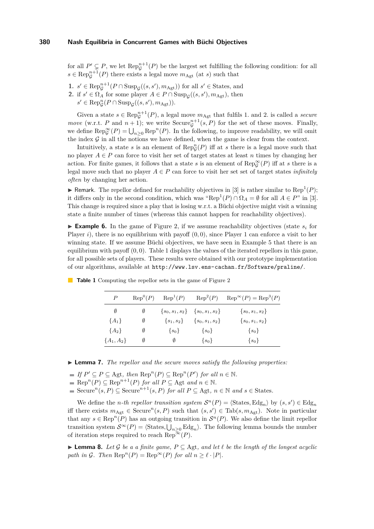for all  $P' \subsetneq P$ , we let  $\text{Rep}_{\mathcal{G}}^{n+1}(P)$  be the largest set fulfilling the following condition: for all  $s \in \text{Rep}_{\mathcal{G}}^{n+1}(P)$  there exists a legal move  $m_{\text{Agt}}$  (at *s*) such that

- **1.**  $s' \in \text{Rep}_{\mathcal{G}}^{n+1}(P \cap \text{Susp}_{\mathcal{G}}((s, s'), m_{\text{Agt}}))$  for all  $s' \in \text{States}$ , and
- **2.** if  $s' \in \Omega_A$  for some player  $A \in P \cap \text{Supp}_{\mathcal{G}}((s, s'), m_{\text{Agt}})$ , then
	- $s' \in \text{Rep}_{\mathcal{G}}^n(P \cap \text{Susp}_{\mathcal{G}}((s, s'), m_{\text{Agt}})).$

Given a state  $s \in \text{Rep}_{\mathcal{G}}^{n+1}(P)$ , a legal move  $m_{\text{Agt}}$  that fulfils 1. and 2. is called a *secure move* (w.r.t. *P* and  $n + 1$ ); we write Secure<sub>*g*</sub><sup> $n+1$ </sup>(*s, P*) for the set of these moves. Finally, we define  $\text{Rep}_{\mathcal{G}}^{\infty}(P) = \bigcup_{n \geq 0} \text{Rep}^n(P)$ . In the following, to improve readability, we will omit the index  $\mathcal G$  in all the notions we have defined, when the game is clear from the context.

Intuitively, a state *s* is an element of  $\text{Rep}_{\mathcal{G}}^n(P)$  iff at *s* there is a legal move such that no player  $A \in P$  can force to visit her set of target states at least *n* times by changing her action. For finite games, it follows that a state *s* is an element of  $\text{Rep}_{\mathcal{G}}^{\infty}(P)$  iff at *s* there is a legal move such that no player  $A \in P$  can force to visit her set set of target states *infinitely often* by changing her action.

**F** Remark. The repellor defined for reachability objectives in [\[3\]](#page-11-8) is rather similar to Rep<sup>1</sup> $(P)$ ; it differs only in the second condition, which was " $\text{Rep}^1(P) \cap \Omega_A = \emptyset$  for all  $A \in P$ " in [\[3\]](#page-11-8). This change is required since a play that is losing w.r.t. a Büchi objective might visit a winning state a finite number of times (whereas this cannot happen for reachability objectives).

**Example 6.** In the game of Figure [2,](#page-3-0) if we assume reachability objectives (state  $s_i$  for Player *i*), there is no equilibrium with payoff  $(0,0)$ , since Player 1 can enforce a visit to her winning state. If we assume Büchi objectives, we have seen in Example [5](#page-4-0) that there is an equilibrium with payoff (0*,* 0). Table [1](#page-5-0) displays the values of the iterated repellors in this game, for all possible sets of players. These results were obtained with our prototype implementation of our algorithms, available at <http://www.lsv.ens-cachan.fr/Software/praline/>.

| P            | $\mathrm{Rep}^0(P)$ | $\text{Rep}^1(P)$ | $\text{Rep}^2(P)$                       | $\text{Rep}^{\infty}(P) = \text{Rep}^3(P)$ |
|--------------|---------------------|-------------------|-----------------------------------------|--------------------------------------------|
| Ø            | Ø                   |                   | $\{s_0, s_1, s_2\}$ $\{s_0, s_1, s_2\}$ | $\{s_0, s_1, s_2\}$                        |
| $\{A_1\}$    | Ø                   | $\{s_1, s_2\}$    | $\{s_0, s_1, s_2\}$                     | $\{s_0, s_1, s_2\}$                        |
| ${A_2}$      | Ø                   | $\{s_0\}$         | $\{s_0\}$                               | $\{s_0\}$                                  |
| ${A_1, A_2}$ | Ø                   | Ø                 | $\{s_0\}$                               | $\{s_0\}$                                  |

<span id="page-5-0"></span>**Table 1** Computing the repellor sets in the game of Figure [2](#page-3-0)

I **Lemma 7.** *The repellor and the secure moves satisfy the following properties:*

- *If*  $P' \subseteq P \subseteq \text{Agt}$ *, then*  $\text{Rep}^n(P) \subseteq \text{Rep}^n(P')$  *for all*  $n \in \mathbb{N}$ *.*
- $\text{Rep}^n(P) \subseteq \text{Rep}^{n+1}(P)$  *for all*  $P \subseteq \text{Agt}$  *and*  $n \in \mathbb{N}$ *.*
- Secure<sup>n</sup>(*s*, *P*)  $\subseteq$  Secure<sup>n+1</sup>(*s*, *P*) *for all*  $P \subseteq$  Agt,  $n \in \mathbb{N}$  *and*  $s \in$  States.

We define the *n*-th repellor transition system  $\mathcal{S}^n(P) = \langle \text{States}, \text{Edg}_n \rangle$  by  $(s, s') \in \text{Edg}_n$ iff there exists  $m_{\text{Agt}} \in \text{Secure}^n(s, P)$  such that  $(s, s') \in \text{Tab}(s, m_{\text{Agt}})$ . Note in particular that any  $s \in \text{Rep}^n(P)$  has an outgoing transition in  $\mathcal{S}^n(P)$ . We also define the limit repellor transition system  $S^{\infty}(P) = \langle$  States,  $\bigcup_{n\geq 0}$  Edg<sub>n</sub> $\rangle$ . The following lemma bounds the number of iteration steps required to reach Rep<sup>∞</sup> $(P)$ .

<span id="page-5-1"></span>**► Lemma 8.** Let G be a a finite game,  $P \subseteq \text{Agt}$ , and let  $\ell$  be the length of the longest acyclic *path in*  $G$ *. Then*  $\text{Rep}^n(P) = \text{Rep}^{\infty}(P)$  *for all*  $n \geq \ell \cdot |P|$ *.*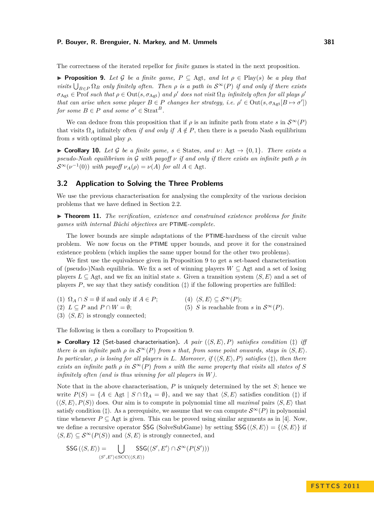The correctness of the iterated repellor for *finite* games is stated in the next proposition.

<span id="page-6-0"></span>**► Proposition 9.** Let G be a finite game,  $P \subseteq \text{Agt}$ , and let  $\rho \in \text{Play}(s)$  be a play that *visits*  $\bigcup_{B \in P} \Omega_B$  *only finitely often. Then*  $\rho$  *is a path in*  $S^{\infty}(P)$  *if and only if there exists*  $\sigma_{\text{Agt}} \in \text{Prof } such that } \rho \in \text{Out}(s, \sigma_{\text{Agt}}) \text{ and } \rho' \text{ does not visit } \Omega_B \text{ infinitely often for all plays } \rho'$ *that can arise when some player*  $B \in P$  *changes her strategy, i.e.*  $\rho' \in Out(s, \sigma_{\text{Agt}}[B \mapsto \sigma'])$  $for some B \in P \text{ and some } \sigma' \in \text{Strat}^B$ .

We can deduce from this proposition that if  $\rho$  is an infinite path from state *s* in  $\mathcal{S}^{\infty}(P)$ that visits  $\Omega_A$  infinitely often *if and only if*  $A \notin P$ , then there is a pseudo Nash equilibrium from *s* with optimal play *ρ*.

► **Corollary 10.** Let G be a finite game,  $s \in$  States, and  $\nu$ : Agt  $\rightarrow$  {0,1}. There exists a *pseudo-Nash equilibrium in* G *with payoff ν if and only if there exists an infinite path ρ in*  $\mathcal{S}^{\infty}(\nu^{-1}(0))$  *with payoff*  $\nu_A(\rho) = \nu(A)$  *for all*  $A \in \text{Agt}$ .

# <span id="page-6-2"></span>**3.2 Application to Solving the Three Problems**

We use the previous characterisation for analysing the complexity of the various decision problems that we have defined in Section [2.2.](#page-3-1)

<span id="page-6-1"></span>▶ **Theorem 11.** *The verification, existence and constrained existence problems for finite games with internal Büchi objectives are* PTIME*-complete.*

The lower bounds are simple adaptations of the PTIME-hardness of the circuit value problem. We now focus on the PTIME upper bounds, and prove it for the constrained existence problem (which implies the same upper bound for the other two problems).

We first use the equivalence given in Proposition [9](#page-6-0) to get a set-based characterisation of (pseudo-)Nash equilibria. We fix a set of winning players  $W \subseteq$  Agt and a set of losing players  $L \subseteq$  Agt, and we fix an initial state *s*. Given a transition system  $\langle S, E \rangle$  and a set of players  $P$ , we say that they satisfy condition  $(†)$  if the following properties are fulfilled:

(1)  $\Omega_A \cap S = \emptyset$  if and only if  $A \in P$ ; (2)  $L \subset P$  and  $P \cap W = \emptyset$ ; (4)  $\langle S, E \rangle \subseteq \mathcal{S}^{\infty}(P);$ (5) *S* is reachable from *s* in  $S^{\infty}(P)$ .

(3)  $\langle S, E \rangle$  is strongly connected;

The following is then a corollary to Proposition [9.](#page-6-0)

 $\triangleright$  **Corollary 12** (Set-based characterisation). A pair ( $\langle S, E \rangle$ , P) *satisfies condition* ( $\ddagger$ ) *iff there is an infinite path*  $\rho$  *in*  $S^{\infty}(P)$  *from s that, from some point onwards, stays in*  $\langle S, E \rangle$ *. In particular,*  $\rho$  *is losing for all players in L. Moreover, if*  $(\langle S, E \rangle, P)$  *satisfies* ( $\ddagger$ )*, then there exists an infinite path*  $\rho$  *in*  $S^{\infty}(P)$  *from s with the same property that visits* all *states of S infinitely often (and is thus winning for all players in W).*

Note that in the above characterisation,  $P$  is uniquely determined by the set  $S$ ; hence we write  $P(S) = \{A \in \text{Agt } | S \cap \Omega_A = \emptyset\}$ , and we say that  $\langle S, E \rangle$  satisfies condition (‡) if  $(\langle S, E \rangle, P(S))$  does. Our aim is to compute in polynomial time all *maximal* pairs  $\langle S, E \rangle$  that satisfy condition ( $\ddagger$ ). As a prerequisite, we assume that we can compute  $\mathcal{S}^{\infty}(P)$  in polynomial time whenever  $P \subseteq$  Agt is given. This can be proved using similar arguments as in [\[4\]](#page-11-20). Now, we define a recursive operator SSG (SolveSubGame) by setting SSG  $(\langle S, E \rangle) = {\langle \langle S, E \rangle}$  if  $\langle S, E \rangle \subseteq \mathcal{S}^{\infty}(P(S))$  and  $\langle S, E \rangle$  is strongly connected, and

$$
\mathsf{SSG}\left(\langle S, E \rangle\right) = \bigcup_{\langle S', E' \rangle \in \mathrm{SCC}(\langle S, E \rangle)} \mathsf{SSG}(\langle S', E' \rangle \cap \mathcal{S}^{\infty}(P(S')))
$$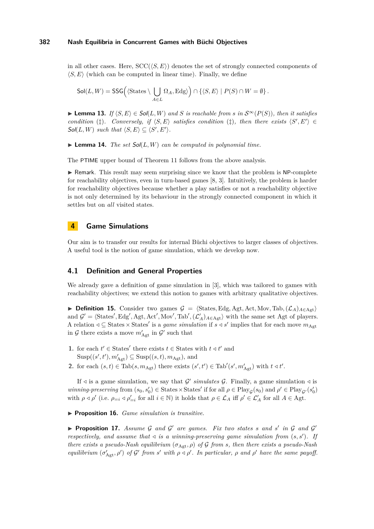in all other cases. Here,  $SCC(\langle S, E \rangle)$  denotes the set of strongly connected components of  $\langle S, E \rangle$  (which can be computed in linear time). Finally, we define

$$
\mathsf{Sol}(L,W) = \mathsf{SSG}\Big( \langle \mathsf{States} \setminus \bigcup_{A \in L} \Omega_A, \mathsf{Edg} \rangle \Big) \cap \{ \langle S, E \rangle \mid P(S) \cap W = \emptyset \}.
$$

▶ **Lemma 13.** *If*  $\langle S, E \rangle \in Sol(L, W)$  *and S is reachable from s in*  $S^{\infty}(P(S))$ *, then it satisfies condition* ( $\ddagger$ )*. Conversely, if*  $\langle S, E \rangle$  *satisfies condition* ( $\ddagger$ )*, then there exists*  $\langle S', E' \rangle \in$  $Sol(L, W)$  *such that*  $\langle S, E \rangle \subseteq \langle S', E' \rangle$ *.* 

 $\blacktriangleright$  **Lemma 14.** *The set*  $Sol(L, W)$  *can be computed in polynomial time.* 

The PTIME upper bound of Theorem [11](#page-6-1) follows from the above analysis.

 $\triangleright$  Remark. This result may seem surprising since we know that the problem is NP-complete for reachability objectives, even in turn-based games [\[8,](#page-11-7) [3\]](#page-11-8). Intuitively, the problem is harder for reachability objectives because whether a play satisfies or not a reachability objective is not only determined by its behaviour in the strongly connected component in which it settles but on *all* visited states.

## **4 Game Simulations**

Our aim is to transfer our results for internal Büchi objectives to larger classes of objectives. A useful tool is the notion of game simulation, which we develop now.

# **4.1 Definition and General Properties**

We already gave a definition of game simulation in [\[3\]](#page-11-8), which was tailored to games with reachability objectives; we extend this notion to games with arbitrary qualitative objectives.

**► Definition 15.** Consider two games  $\mathcal{G} = \langle$ States*,* Edg*,* Agt*,* Act*,* Mov*,* Tab*,*( $\mathcal{L}_A$ )<sub>*A*∈Agt</sub>) and  $\mathcal{G}' = \langle \text{States}', \text{Edg}', \text{Agt}, \text{Act}', \text{Mov}', \text{Tab}', (\mathcal{L}'_A)_{A \in \text{Agt}} \rangle$  with the same set Agt of players. A relation  $\triangleleft$  ⊆ States  $\times$  States' is a *game simulation* if  $s \triangleleft s'$  implies that for each move  $m_{\text{Agt}}$ in  $\mathcal G$  there exists a move  $m'_{\text{Agt}}$  in  $\mathcal G'$  such that

- **1.** for each  $t' \in$  States' there exists  $t \in$  States with  $t \triangleleft t'$  and  $\text{Susp}((s', t'), m'_{\text{Agt}}) \subseteq \text{Susp}((s, t), m_{\text{Agt}})$ , and
- **2.** for each  $(s,t) \in \text{Tab}(s, m_{\text{Agt}})$  there exists  $(s', t') \in \text{Tab}'(s', m'_{\text{Agt}})$  with  $t \leq t'$ .

If  $\triangleleft$  is a game simulation, we say that  $\mathcal{G}'$  simulates  $\mathcal{G}$ . Finally, a game simulation  $\triangleleft$  is  $winning-preserving from (s_0, s'_0) \in States \times States' \text{ if for all } \rho \in Play_{\mathcal{G}}(s_0) \text{ and } \rho' \in Play_{\mathcal{G}'}(s'_0)$ with  $\rho \triangleleft \rho'$  (i.e.  $\rho_{=i} \triangleleft \rho'_{=i}$  for all  $i \in \mathbb{N}$ ) it holds that  $\rho \in \mathcal{L}_A$  iff  $\rho' \in \mathcal{L}'_A$  for all  $A \in \text{Agt}$ .

▶ **Proposition 16.** *Game simulation is transitive.* 

**Proposition 17.** Assume  $G$  and  $G'$  are games. Fix two states  $s$  and  $s'$  in  $G$  and  $G'$ *respectively, and assume that*  $\triangleleft$  *is a winning-preserving game simulation from*  $(s, s')$ . If *there exists a pseudo-Nash equilibrium* (*σ*Agt*, ρ*) *of* G *from s, then there exists a pseudo-Nash equilibrium*  $(\sigma'_{\text{Agt}}, \rho')$  *of* G' from *s'* with  $\rho \triangleleft \rho'$ . In particular,  $\rho$  and  $\rho'$  have the same payoff.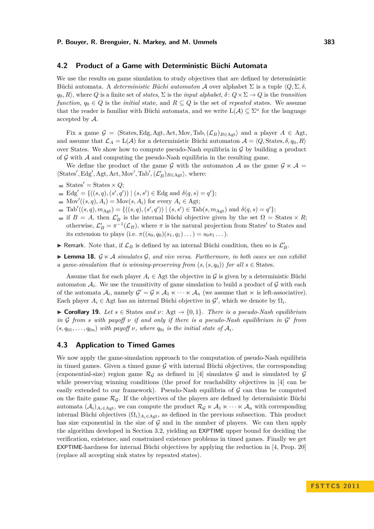## **4.2 Product of a Game with Deterministic Büchi Automata**

We use the results on game simulation to study objectives that are defined by deterministic Büchi automata. A *deterministic Büchi automaton* A over alphabet Σ is a tuple h*Q,* Σ*, δ,*  $q_0, R$ , where *Q* is a finite set of *states*,  $\Sigma$  is the *input alphabet*,  $\delta: Q \times \Sigma \to Q$  is the *transition function*,  $q_0 \in Q$  is the *initial* state, and  $R \subseteq Q$  is the set of *repeated* states. We assume that the reader is familiar with Büchi automata, and we write  $L(\mathcal{A}) \subseteq \Sigma^{\omega}$  for the language accepted by A.

Fix a game  $\mathcal{G} = \langle$ States*,* Edg*,* Agt*,* Act*,* Mov*,* Tab*,*( $\mathcal{L}_B$ )<sub>*B*∈Agt</sub> $\rangle$  and a player *A* ∈ Agt*,* and assume that  $\mathcal{L}_A = \mathcal{L}(\mathcal{A})$  for a deterministic Büchi automaton  $\mathcal{A} = \langle Q, \text{States}, \delta, q_0, R \rangle$ over States. We show how to compute pseudo-Nash equilibria in  $\mathcal G$  by building a product of  $\mathcal G$  with  $\mathcal A$  and computing the pseudo-Nash equilibria in the resulting game.

We define the product of the game G with the automaton A as the game  $\mathcal{G} \ltimes \mathcal{A} =$  $\langle$ States', Edg', Agt, Act, Mov', Tab',  $(\mathcal{L}'_B)_{B \in \text{Agt}}$ , where:

- States' = States  $\times Q$ ;
- $Edg' = \{((s, q), (s', q')) | (s, s') \in Edg \text{ and } \delta(q, s) = q'\};$
- $Mov'((s, q), A_i) = Mov(s, A_i)$  for every  $A_i \in \text{Agt};$
- $\text{Tab}'((s,q), m_{\text{Agt}}) = \{((s,q), (s', q')) \mid (s, s') \in \text{Tab}(s, m_{\text{Agt}}) \text{ and } \delta(q, s) = q'\};$
- if  $B = A$ , then  $\mathcal{L}'_B$  is the internal Büchi objective given by the set  $\Omega =$  States  $\times R$ ; otherwise,  $\mathcal{L}'_B = \pi^{-1}(\mathcal{L}_B)$ , where  $\pi$  is the natural projection from States' to States and its extension to plays (i.e.  $\pi((s_0, q_0)(s_1, q_1) \dots) = s_0 s_1 \dots$ ).
- **F** Remark. Note that, if  $\mathcal{L}_B$  is defined by an internal Büchi condition, then so is  $\mathcal{L}'_B$ .

 $\triangleright$  **Lemma 18.**  $\mathcal{G} \ltimes \mathcal{A}$  *simulates*  $\mathcal{G}$ *, and vice versa. Furthermore, in both cases we can exhibit a game-simulation that is winning-preserving from*  $(s, (s, q_0))$  *for all*  $s \in$  States.

Assume that for each player  $A_i \in \text{Agt}$  the objective in G is given by a deterministic Büchi automaton  $A_i$ . We use the transitivity of game simulation to build a product of  $G$  with each of the automata  $A_i$ , namely  $G' = G \ltimes A_1 \ltimes \cdots \ltimes A_n$  (we assume that  $\ltimes$  is left-associative). Each player  $A_i \in \text{Agt}$  has an internal Büchi objective in  $\mathcal{G}'$ , which we denote by  $\Omega_i$ .

<span id="page-8-1"></span>► Corollary 19. Let  $s \in$  States and  $\nu$ : Agt  $\rightarrow$  {0,1}. There is a pseudo-Nash equilibrium *in* G *from s with payoff ν if and only if there is a pseudo-Nash equilibrium in* G 0 *from*  $(s, q_{01}, \ldots, q_{0n})$  *with payoff*  $\nu$ *, where*  $q_{0i}$  *is the initial state of*  $\mathcal{A}_i$ *.* 

## <span id="page-8-0"></span>**4.3 Application to Timed Games**

We now apply the game-simulation approach to the computation of pseudo-Nash equilibria in timed games. Given a timed game  $\mathcal G$  with internal Büchi objectives, the corresponding (exponential-size) region game  $\mathcal{R}_{\mathcal{G}}$  as defined in [\[4\]](#page-11-20) simulates  $\mathcal{G}$  and is simulated by  $\mathcal{G}$ while preserving winning conditions (the proof for reachability objectives in [\[4\]](#page-11-20) can be easily extended to our framework). Pseudo-Nash equilibria of  $G$  can thus be computed on the finite game  $\mathcal{R}_G$ . If the objectives of the players are defined by deterministic Büchi automata  $(\mathcal{A}_i)_{A_i \in \text{Agt}}$ , we can compute the product  $\mathcal{R}_{\mathcal{G}} \ltimes \mathcal{A}_1 \ltimes \cdots \ltimes \mathcal{A}_n$  with corresponding internal Büchi objectives  $(\Omega_i)_{A_i \in \text{Agt}}$ , as defined in the previous subsection. This product has size exponential in the size of  $\mathcal G$  and in the number of players. We can then apply the algorithm developed in Section [3.2,](#page-6-2) yielding an EXPTIME upper bound for deciding the verification, existence, and constrained existence problems in timed games. Finally we get EXPTIME-hardness for internal Büchi objectives by applying the reduction in [\[4,](#page-11-20) Prop. 20] (replace all accepting sink states by repeated states).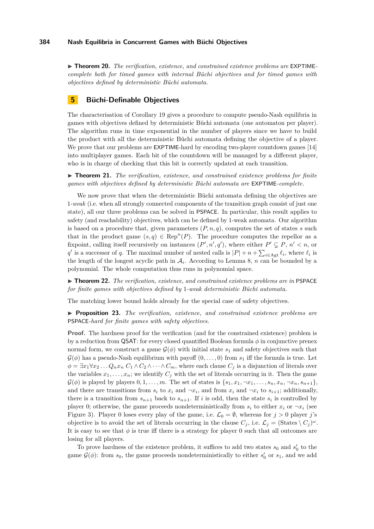▶ **Theorem 20.** *The verification, existence, and constrained existence problems are* EXPTIME *complete both for timed games with internal Büchi objectives and for timed games with objectives defined by deterministic Büchi automata.*

## **5 Büchi-Definable Objectives**

The characterisation of Corollary [19](#page-8-1) gives a procedure to compute pseudo-Nash equilibria in games with objectives defined by deterministic Büchi automata (one automaton per player). The algorithm runs in time exponential in the number of players since we have to build the product with all the deterministic Büchi automata defining the objective of a player. We prove that our problems are **EXPTIME**-hard by encoding two-player countdown games [\[14\]](#page-11-21) into multiplayer games. Each bit of the countdown will be managed by a different player, who is in charge of checking that this bit is correctly updated at each transition.

▶ **Theorem 21.** *The verification, existence, and constrained existence problems for finite games with objectives defined by deterministic Büchi automata are* EXPTIME*-complete.*

We now prove that when the deterministic Büchi automata defining the objectives are 1*-weak* (i.e. when all strongly connected components of the transition graph consist of just one state), all our three problems can be solved in PSPACE. In particular, this result applies to safety (and reachability) objectives, which can be defined by 1-weak automata. Our algorithm is based on a procedure that, given parameters  $(P, n, q)$ , computes the set of states *s* such that in the product game  $(s, q) \in \text{Rep}^n(P)$ . The procedure computes the repellor as a fixpoint, calling itself recursively on instances  $(P', n', q')$ , where either  $P' \subsetneq P$ ,  $n' < n$ , or *q*<sup>*i*</sup> is a successor of *q*. The maximal number of nested calls is  $|P| + n + \sum_{i \in \text{Agt}} \ell_i$ , where  $\ell_i$  is the length of the longest acyclic path in  $A_i$ . According to Lemma [8,](#page-5-1) *n* can be bounded by a polynomial. The whole computation thus runs in polynomial space.

I **Theorem 22.** *The verification, existence, and constrained existence problems are in* PSPACE *for finite games with objectives defined by* 1*-weak deterministic Büchi automata.*

The matching lower bound holds already for the special case of safety objectives.

<span id="page-9-0"></span>I **Proposition 23.** *The verification, existence, and constrained existence problems are* PSPACE*-hard for finite games with safety objectives.*

**Proof.** The hardness proof for the verification (and for the constrained existence) problem is by a reduction from QSAT: for every closed quantified Boolean formula *φ* in conjunctive prenex normal form, we construct a game  $\mathcal{G}(\phi)$  with initial state  $s_1$  and safety objectives such that  $\mathcal{G}(\phi)$  has a pseudo-Nash equilibrium with payoff  $(0,\ldots,0)$  from  $s_1$  iff the formula is true. Let  $\phi = \exists x_1 \forall x_2 \dots Q_n x_n C_1 \wedge C_2 \wedge \dots \wedge C_m$ , where each clause  $C_j$  is a disjunction of literals over the variables  $x_1, \ldots, x_n$ ; we identify  $C_j$  with the set of literals occurring in it. Then the game  $\mathcal{G}(\phi)$  is played by players  $0, 1, \ldots, m$ . The set of states is  $\{s_1, x_1, \ldots, s_n, x_n, \neg x_n, s_{n+1}\},\$ and there are transitions from  $s_i$  to  $x_i$  and  $\neg x_i$ , and from  $x_i$  and  $\neg x_i$  to  $s_{i+1}$ ; additionally, there is a transition from  $s_{n+1}$  back to  $s_{n+1}$ . If *i* is odd, then the state  $s_i$  is controlled by player 0; otherwise, the game proceeds nondeterministically from  $s_i$  to either  $x_i$  or  $\neg x_i$  (see Figure [3\)](#page-10-1). Player 0 loses every play of the game, i.e.  $\mathcal{L}_0 = \emptyset$ , whereas for  $j > 0$  player *j*'s objective is to avoid the set of literals occurring in the clause  $C_j$ , i.e.  $\mathcal{L}_j = (\text{States} \setminus C_j)^\omega$ . It is easy to see that  $\phi$  is true iff there is a strategy for player 0 such that all outcomes are losing for all players.

To prove hardness of the existence problem, it suffices to add two states  $s_0$  and  $s'_0$  to the game  $\mathcal{G}(\phi)$ : from  $s_0$ , the game proceeds nondeterministically to either  $s'_0$  or  $s_1$ , and we add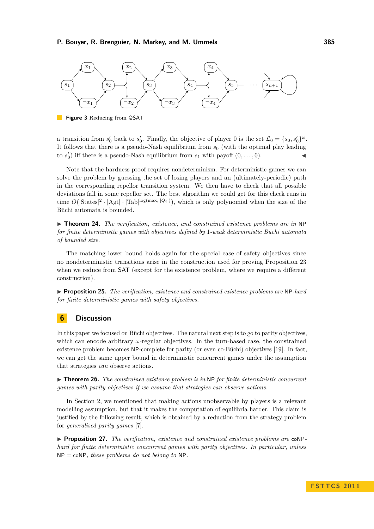<span id="page-10-1"></span>

**Figure 3** Reducing from QSAT

a transition from  $s'_0$  back to  $s'_0$ . Finally, the objective of player 0 is the set  $\mathcal{L}_0 = \{s_0, s'_0\}^{\omega}$ . It follows that there is a pseudo-Nash equilibrium from  $s_0$  (with the optimal play leading to  $s'_0$ ) iff there is a pseudo-Nash equilibrium from  $s_1$  with payoff  $(0, \ldots, 0)$ .

Note that the hardness proof requires nondeterminism. For deterministic games we can solve the problem by guessing the set of losing players and an (ultimately-periodic) path in the corresponding repellor transition system. We then have to check that all possible deviations fall in some repellor set. The best algorithm we could get for this check runs in time  $O(|\text{States}|^2 \cdot |\text{Agt}| \cdot |\text{Tab}|^{\log(\max_i |Q_i|)})$ , which is only polynomial when the size of the Büchi automata is bounded.

I **Theorem 24.** *The verification, existence, and constrained existence problems are in* NP *for finite deterministic games with objectives defined by* 1*-weak deterministic Büchi automata of bounded size.*

The matching lower bound holds again for the special case of safety objectives since no nondeterministic transitions arise in the construction used for proving Proposition [23](#page-9-0) when we reduce from **SAT** (except for the existence problem, where we require a different construction).

I **Proposition 25.** *The verification, existence and constrained existence problems are* NP*-hard for finite deterministic games with safety objectives.*

# <span id="page-10-0"></span>**6 Discussion**

In this paper we focused on Büchi objectives. The natural next step is to go to parity objectives, which can encode arbitrary *ω*-regular objectives. In the turn-based case, the constrained existence problem becomes NP-complete for parity (or even co-Büchi) objectives [\[19\]](#page-11-13). In fact, we can get the same upper bound in deterministic concurrent games under the assumption that strategies *can* observe actions.

I **Theorem 26.** *The constrained existence problem is in* NP *for finite deterministic concurrent games with parity objectives if we assume that strategies can observe actions.*

In Section [2,](#page-2-0) we mentioned that making actions unobservable by players is a relevant modelling assumption, but that it makes the computation of equilibria harder. This claim is justified by the following result, which is obtained by a reduction from the strategy problem for *generalised parity games* [\[7\]](#page-11-22).

▶ **Proposition 27.** *The verification, existence and constrained existence problems are* coNP*hard for finite deterministic concurrent games with parity objectives. In particular, unless* NP = coNP*, these problems do not belong to* NP*.*